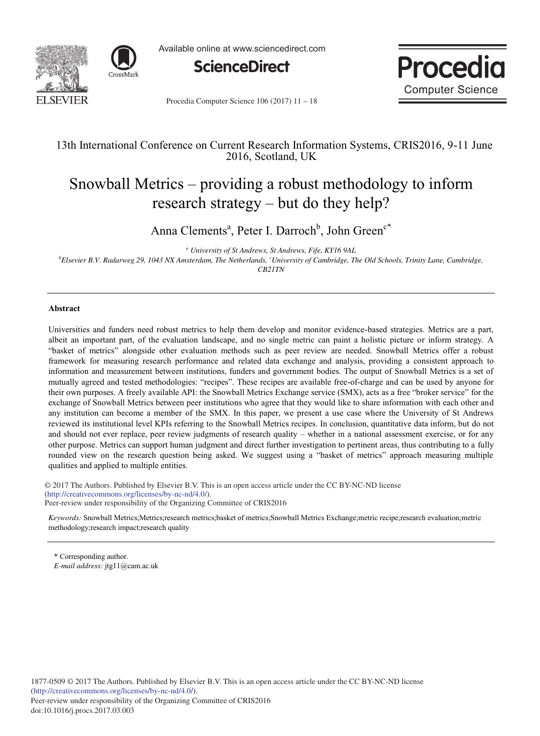



Available online at www.sciencedirect.com



**Proced Computer Science** 

Procedia Computer Science 106 (2017) 11 - 18

# 13th International Conference on Current Research Information Systems, CRIS2016, 9-11 June 2016, Scotland, UK

# Snowball Metrics – providing a robust methodology to inform research strategy – but do they help?

Anna Clements<sup>a</sup>, Peter I. Darroch<sup>b</sup>, John Green<sup>c\*</sup>

*<sup>a</sup> University of St Andrews, St Andrews, Fife, KY16 9AL*

*b Elsevier B.V. Radarweg 29, 1043 NX Amsterdam, The Netherlands, <sup>c</sup> University of Cambridge, The Old Schools, Trinity Lane, Cambridge, CB21TN* 

#### **Abstract**

Universities and funders need robust metrics to help them develop and monitor evidence-based strategies. Metrics are a part, albeit an important part, of the evaluation landscape, and no single metric can paint a holistic picture or inform strategy. A "basket of metrics" alongside other evaluation methods such as peer review are needed. Snowball Metrics offer a robust framework for measuring research performance and related data exchange and analysis, providing a consistent approach to information and measurement between institutions, funders and government bodies. The output of Snowball Metrics is a set of mutually agreed and tested methodologies: "recipes". These recipes are available free-of-charge and can be used by anyone for their own purposes. A freely available API: the Snowball Metrics Exchange service (SMX), acts as a free "broker service" for the exchange of Snowball Metrics between peer institutions who agree that they would like to share information with each other and any institution can become a member of the SMX. In this paper, we present a use case where the University of St Andrews reviewed its institutional level KPIs referring to the Snowball Metrics recipes. In conclusion, quantitative data inform, but do not and should not ever replace, peer review judgments of research quality – whether in a national assessment exercise, or for any other purpose. Metrics can support human judgment and direct further investigation to pertinent areas, thus contributing to a fully rounded view on the research question being asked. We suggest using a "basket of metrics" approach measuring multiple qualities and applied to multiple entities.

© 2016 The Authors. Published by Elsevier B.V. © 2017 The Authors. Published by Elsevier B.V. This is an open access article under the CC BY-NC-ND license Peer-review under responsibility of the Organizing Committee of CRIS2016. Peer-review under responsibility of the Organizing Committee of CRIS2016(http://creativecommons.org/licenses/by-nc-nd/4.0/).

*Keywords:* Snowball Metrics;Metrics;research metrics;basket of metrics;Snowball Metrics Exchange;metric recipe;research evaluation;metric methodology;research impact;research quality

\* Corresponding author.

*E-mail address:* jtg11@cam.ac.uk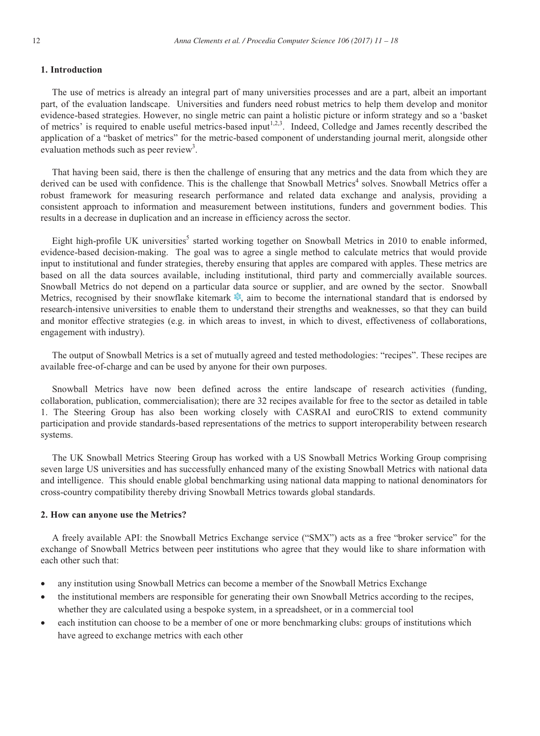## **1. Introduction**

The use of metrics is already an integral part of many universities processes and are a part, albeit an important part, of the evaluation landscape. Universities and funders need robust metrics to help them develop and monitor evidence-based strategies. However, no single metric can paint a holistic picture or inform strategy and so a 'basket of metrics' is required to enable useful metrics-based input<sup>1,2,3</sup>. Indeed, Colledge and James recently described the application of a "basket of metrics" for the metric-based component of understanding journal merit, alongside other evaluation methods such as peer review<sup>3</sup>.

That having been said, there is then the challenge of ensuring that any metrics and the data from which they are derived can be used with confidence. This is the challenge that Snowball Metrics<sup>4</sup> solves. Snowball Metrics offer a robust framework for measuring research performance and related data exchange and analysis, providing a consistent approach to information and measurement between institutions, funders and government bodies. This results in a decrease in duplication and an increase in efficiency across the sector.

Eight high-profile UK universities<sup>5</sup> started working together on Snowball Metrics in 2010 to enable informed, evidence-based decision-making. The goal was to agree a single method to calculate metrics that would provide input to institutional and funder strategies, thereby ensuring that apples are compared with apples. These metrics are based on all the data sources available, including institutional, third party and commercially available sources. Snowball Metrics do not depend on a particular data source or supplier, and are owned by the sector. Snowball Metrics, recognised by their snowflake kitemark  $\hat{\mathbf{x}}$ , aim to become the international standard that is endorsed by research-intensive universities to enable them to understand their strengths and weaknesses, so that they can build and monitor effective strategies (e.g. in which areas to invest, in which to divest, effectiveness of collaborations, engagement with industry).

The output of Snowball Metrics is a set of mutually agreed and tested methodologies: "recipes". These recipes are available free-of-charge and can be used by anyone for their own purposes.

Snowball Metrics have now been defined across the entire landscape of research activities (funding, collaboration, publication, commercialisation); there are 32 recipes available for free to the sector as detailed in table 1. The Steering Group has also been working closely with CASRAI and euroCRIS to extend community participation and provide standards-based representations of the metrics to support interoperability between research systems.

The UK Snowball Metrics Steering Group has worked with a US Snowball Metrics Working Group comprising seven large US universities and has successfully enhanced many of the existing Snowball Metrics with national data and intelligence. This should enable global benchmarking using national data mapping to national denominators for cross-country compatibility thereby driving Snowball Metrics towards global standards.

## **2. How can anyone use the Metrics?**

A freely available API: the Snowball Metrics Exchange service ("SMX") acts as a free "broker service" for the exchange of Snowball Metrics between peer institutions who agree that they would like to share information with each other such that:

- any institution using Snowball Metrics can become a member of the Snowball Metrics Exchange
- the institutional members are responsible for generating their own Snowball Metrics according to the recipes, whether they are calculated using a bespoke system, in a spreadsheet, or in a commercial tool
- each institution can choose to be a member of one or more benchmarking clubs: groups of institutions which have agreed to exchange metrics with each other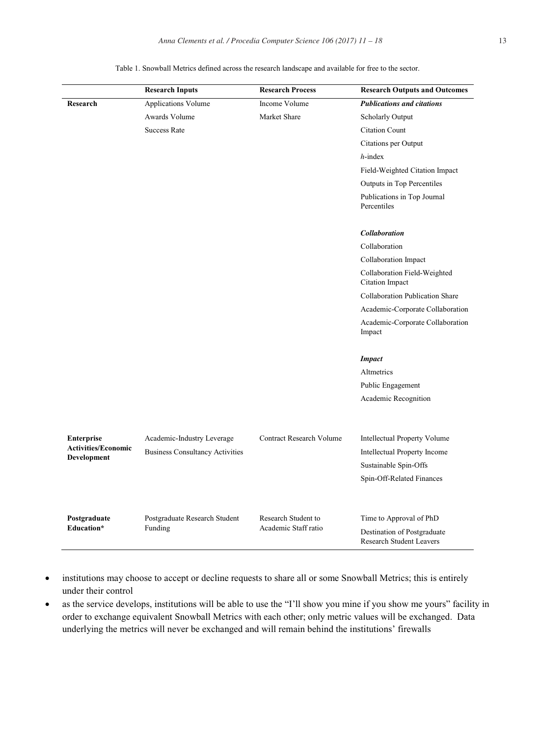|                                                                | <b>Research Inputs</b>                                               | <b>Research Process</b>                     | <b>Research Outputs and Outcomes</b>                           |
|----------------------------------------------------------------|----------------------------------------------------------------------|---------------------------------------------|----------------------------------------------------------------|
| Research                                                       | Applications Volume                                                  | Income Volume                               | <b>Publications and citations</b>                              |
|                                                                | <b>Awards Volume</b>                                                 | Market Share                                | Scholarly Output                                               |
|                                                                | <b>Success Rate</b>                                                  |                                             | <b>Citation Count</b>                                          |
|                                                                |                                                                      |                                             | Citations per Output                                           |
|                                                                |                                                                      |                                             | $h$ -index                                                     |
|                                                                |                                                                      |                                             | Field-Weighted Citation Impact                                 |
|                                                                |                                                                      |                                             | Outputs in Top Percentiles                                     |
|                                                                |                                                                      |                                             | Publications in Top Journal<br>Percentiles                     |
|                                                                |                                                                      |                                             | <b>Collaboration</b>                                           |
|                                                                |                                                                      |                                             | Collaboration                                                  |
|                                                                |                                                                      |                                             | Collaboration Impact                                           |
|                                                                |                                                                      |                                             | Collaboration Field-Weighted<br><b>Citation Impact</b>         |
|                                                                |                                                                      |                                             | Collaboration Publication Share                                |
|                                                                |                                                                      |                                             | Academic-Corporate Collaboration                               |
|                                                                |                                                                      |                                             | Academic-Corporate Collaboration<br>Impact                     |
|                                                                |                                                                      |                                             | <b>Impact</b>                                                  |
|                                                                |                                                                      |                                             | Altmetrics                                                     |
|                                                                |                                                                      |                                             | Public Engagement                                              |
|                                                                |                                                                      |                                             | Academic Recognition                                           |
| <b>Enterprise</b><br><b>Activities/Economic</b><br>Development | Academic-Industry Leverage<br><b>Business Consultancy Activities</b> | <b>Contract Research Volume</b>             | <b>Intellectual Property Volume</b>                            |
|                                                                |                                                                      |                                             | Intellectual Property Income                                   |
|                                                                |                                                                      |                                             | Sustainable Spin-Offs                                          |
|                                                                |                                                                      |                                             | Spin-Off-Related Finances                                      |
| Postgraduate<br><b>Education*</b>                              | Postgraduate Research Student<br>Funding                             | Research Student to<br>Academic Staff ratio | Time to Approval of PhD                                        |
|                                                                |                                                                      |                                             | Destination of Postgraduate<br><b>Research Student Leavers</b> |

Table 1. Snowball Metrics defined across the research landscape and available for free to the sector.

- institutions may choose to accept or decline requests to share all or some Snowball Metrics; this is entirely under their control
- as the service develops, institutions will be able to use the "I'll show you mine if you show me yours" facility in order to exchange equivalent Snowball Metrics with each other; only metric values will be exchanged. Data underlying the metrics will never be exchanged and will remain behind the institutions' firewalls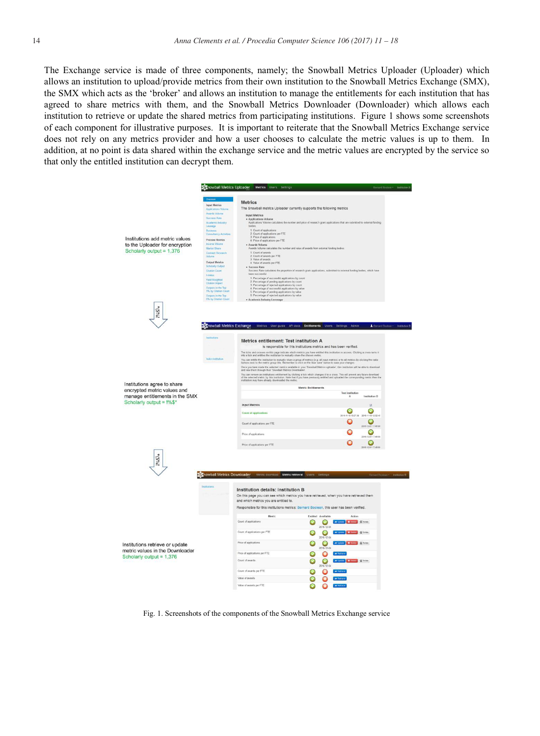The Exchange service is made of three components, namely; the Snowball Metrics Uploader (Uploader) which allows an institution to upload/provide metrics from their own institution to the Snowball Metrics Exchange (SMX), the SMX which acts as the 'broker' and allows an institution to manage the entitlements for each institution that has agreed to share metrics with them, and the Snowball Metrics Downloader (Downloader) which allows each institution to retrieve or update the shared metrics from participating institutions. Figure 1 shows some screenshots of each component for illustrative purposes. It is important to reiterate that the Snowball Metrics Exchange service does not rely on any metrics provider and how a user chooses to calculate the metric values is up to them. In addition, at no point is data shared within the exchange service and the metric values are encrypted by the service so that only the entitled institution can decrypt them.



Fig. 1. Screenshots of the components of the Snowball Metrics Exchange service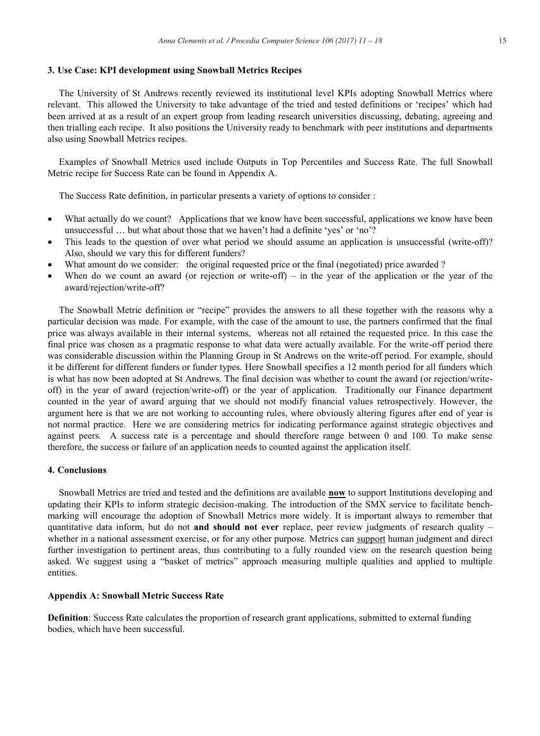#### **3. Use Case: KPI development using Snowball Metrics Recipes**

The University of St Andrews recently reviewed its institutional level KPIs adopting Snowball Metrics where relevant. This allowed the University to take advantage of the tried and tested definitions or 'recipes' which had been arrived at as a result of an expert group from leading research universities discussing, debating, agreeing and then trialling each recipe. It also positions the University ready to benchmark with peer institutions and departments also using Snowball Metrics recipes.

Examples of Snowball Metrics used include Outputs in Top Percentiles and Success Rate. The full Snowball Metric recipe for Success Rate can be found in Appendix A.

The Success Rate definition, in particular presents a variety of options to consider :

- What actually do we count? Applications that we know have been successful, applications we know have been unsuccessful … but what about those that we haven't had a definite 'yes' or 'no'?
- This leads to the question of over what period we should assume an application is unsuccessful (write-off)? Also, should we vary this for different funders?
- What amount do we consider: the original requested price or the final (negotiated) price awarded ?
- When do we count an award (or rejection or write-off) in the year of the application or the year of the award/rejection/write-off?

The Snowball Metric definition or "recipe" provides the answers to all these together with the reasons why a particular decision was made. For example, with the case of the amount to use, the partners confirmed that the final price was always available in their internal systems, whereas not all retained the requested price. In this case the final price was chosen as a pragmatic response to what data were actually available. For the write-off period there was considerable discussion within the Planning Group in St Andrews on the write-off period. For example, should it be different for different funders or funder types. Here Snowball specifies a 12 month period for all funders which is what has now been adopted at St Andrews. The final decision was whether to count the award (or rejection/writeoff) in the year of award (rejection/write-off) or the year of application. Traditionally our Finance department counted in the year of award arguing that we should not modify financial values retrospectively. However, the argument here is that we are not working to accounting rules, where obviously altering figures after end of year is not normal practice. Here we are considering metrics for indicating performance against strategic objectives and against peers. A success rate is a percentage and should therefore range between 0 and 100. To make sense therefore, the success or failure of an application needs to counted against the application itself.

#### **4. Conclusions**

Snowball Metrics are tried and tested and the definitions are available **now** to support Institutions developing and updating their KPIs to inform strategic decision-making. The introduction of the SMX service to facilitate benchmarking will encourage the adoption of Snowball Metrics more widely. It is important always to remember that quantitative data inform, but do not **and should not ever** replace, peer review judgments of research quality – whether in a national assessment exercise, or for any other purpose. Metrics can support human judgment and direct further investigation to pertinent areas, thus contributing to a fully rounded view on the research question being asked. We suggest using a "basket of metrics" approach measuring multiple qualities and applied to multiple entities.

## **Appendix A: Snowball Metric Success Rate**

**Definition**: Success Rate calculates the proportion of research grant applications, submitted to external funding bodies, which have been successful.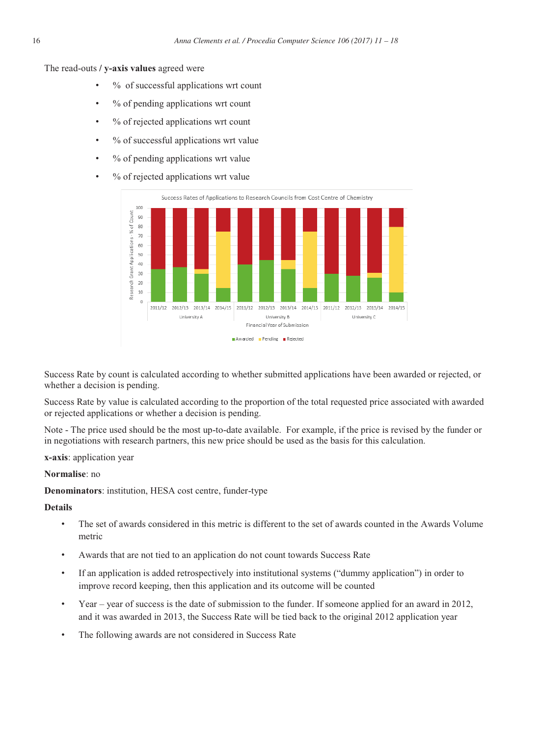The read-outs **/ y-axis values** agreed were

- % of successful applications wrt count
- % of pending applications wrt count
- % of rejected applications wrt count
- % of successful applications wrt value
- % of pending applications wrt value
- % of rejected applications wrt value



Success Rate by count is calculated according to whether submitted applications have been awarded or rejected, or whether a decision is pending.

Success Rate by value is calculated according to the proportion of the total requested price associated with awarded or rejected applications or whether a decision is pending.

Note - The price used should be the most up-to-date available. For example, if the price is revised by the funder or in negotiations with research partners, this new price should be used as the basis for this calculation.

**x-axis**: application year

# **Normalise**: no

**Denominators**: institution, HESA cost centre, funder-type

# **Details**

- The set of awards considered in this metric is different to the set of awards counted in the Awards Volume metric
- Awards that are not tied to an application do not count towards Success Rate
- If an application is added retrospectively into institutional systems ("dummy application") in order to improve record keeping, then this application and its outcome will be counted
- Year year of success is the date of submission to the funder. If someone applied for an award in 2012, and it was awarded in 2013, the Success Rate will be tied back to the original 2012 application year
- The following awards are not considered in Success Rate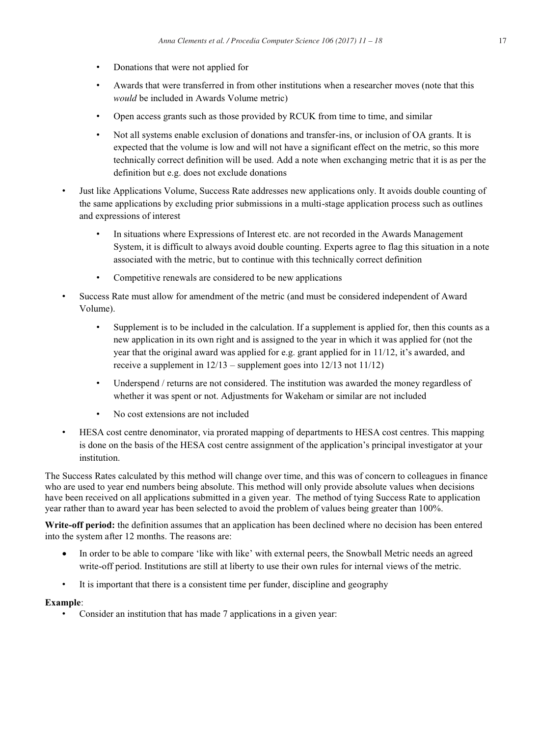- Donations that were not applied for
- Awards that were transferred in from other institutions when a researcher moves (note that this *would* be included in Awards Volume metric)
- Open access grants such as those provided by RCUK from time to time, and similar
- Not all systems enable exclusion of donations and transfer-ins, or inclusion of OA grants. It is expected that the volume is low and will not have a significant effect on the metric, so this more technically correct definition will be used. Add a note when exchanging metric that it is as per the definition but e.g. does not exclude donations
- Just like Applications Volume, Success Rate addresses new applications only. It avoids double counting of the same applications by excluding prior submissions in a multi-stage application process such as outlines and expressions of interest
	- In situations where Expressions of Interest etc. are not recorded in the Awards Management System, it is difficult to always avoid double counting. Experts agree to flag this situation in a note associated with the metric, but to continue with this technically correct definition
	- Competitive renewals are considered to be new applications
- Success Rate must allow for amendment of the metric (and must be considered independent of Award Volume).
	- Supplement is to be included in the calculation. If a supplement is applied for, then this counts as a new application in its own right and is assigned to the year in which it was applied for (not the year that the original award was applied for e.g. grant applied for in 11/12, it's awarded, and receive a supplement in 12/13 – supplement goes into 12/13 not 11/12)
	- Underspend / returns are not considered. The institution was awarded the money regardless of whether it was spent or not. Adjustments for Wakeham or similar are not included
	- No cost extensions are not included
- HESA cost centre denominator, via prorated mapping of departments to HESA cost centres. This mapping is done on the basis of the HESA cost centre assignment of the application's principal investigator at your institution.

The Success Rates calculated by this method will change over time, and this was of concern to colleagues in finance who are used to year end numbers being absolute. This method will only provide absolute values when decisions have been received on all applications submitted in a given year. The method of tying Success Rate to application year rather than to award year has been selected to avoid the problem of values being greater than 100%.

**Write-off period:** the definition assumes that an application has been declined where no decision has been entered into the system after 12 months. The reasons are:

- In order to be able to compare 'like with like' with external peers, the Snowball Metric needs an agreed write-off period. Institutions are still at liberty to use their own rules for internal views of the metric.
- It is important that there is a consistent time per funder, discipline and geography

# **Example**:

• Consider an institution that has made 7 applications in a given year: